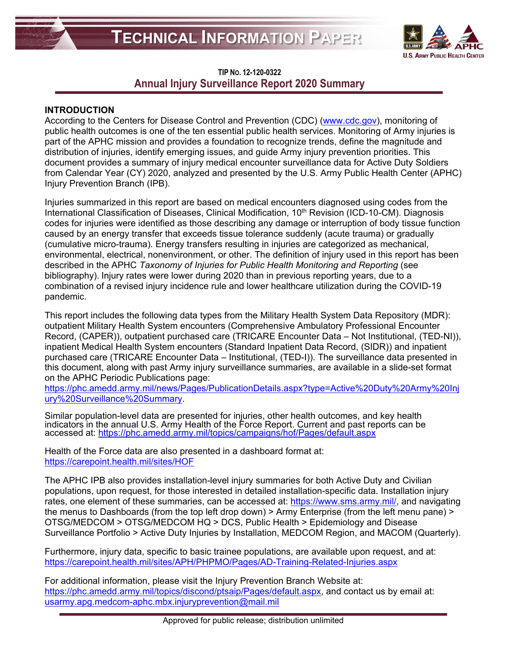

# **TIP NO. 12-120-0322 Annual Injury Surveillance Report 2020 Summary**

## **INTRODUCTION**

According to the Centers for Disease Control and Prevention (CDC) [\(www.cdc.gov\)](http://www.cdc.gov/), monitoring of public health outcomes is one of the ten essential public health services. Monitoring of Army injuries is part of the APHC mission and provides a foundation to recognize trends, define the magnitude and distribution of injuries, identify emerging issues, and guide Army injury prevention priorities. This document provides a summary of injury medical encounter surveillance data for Active Duty Soldiers from Calendar Year (CY) 2020, analyzed and presented by the U.S. Army Public Health Center (APHC) Injury Prevention Branch (IPB).

Injuries summarized in this report are based on medical encounters diagnosed using codes from the International Classification of Diseases, Clinical Modification, 10<sup>th</sup> Revision (ICD-10-CM). Diagnosis codes for injuries were identified as those describing any damage or interruption of body tissue function caused by an energy transfer that exceeds tissue tolerance suddenly (acute trauma) or gradually (cumulative micro-trauma). Energy transfers resulting in injuries are categorized as mechanical, environmental, electrical, nonenvironment, or other. The definition of injury used in this report has been described in the APHC *Taxonomy of Injuries for Public Health Monitoring and Reporting* (see bibliography). Injury rates were lower during 2020 than in previous reporting years, due to a combination of a revised injury incidence rule and lower healthcare utilization during the COVID-19 pandemic.

This report includes the following data types from the Military Health System Data Repository (MDR): outpatient Military Health System encounters (Comprehensive Ambulatory Professional Encounter Record, (CAPER)), outpatient purchased care (TRICARE Encounter Data – Not Institutional, (TED-NI)), inpatient Medical Health System encounters (Standard Inpatient Data Record, (SIDR)) and inpatient purchased care (TRICARE Encounter Data – Institutional, (TED-I)). The surveillance data presented in this document, along with past Army injury surveillance summaries, are available in a slide-set format on the APHC Periodic Publications page:

[https://phc.amedd.army.mil/news/Pages/PublicationDetails.aspx?type=Active%20Duty%20Army%20Inj](https://phc.amedd.army.mil/news/Pages/PublicationDetails.aspx?type=Active%20Duty%20Army%20Injury%20Surveillance%20Summary) [ury%20Surveillance%20Summary.](https://phc.amedd.army.mil/news/Pages/PublicationDetails.aspx?type=Active%20Duty%20Army%20Injury%20Surveillance%20Summary)

Similar population-level data are presented for injuries, other health outcomes, and key health indicators in [the annual U.S. Army Health of the Force Report. Current and past rep](https://phc.amedd.army.mil/topics/campaigns/hof/Pages/default.aspx)orts can be accessed at: https://phc.amedd.

Health of the Force data are also presented in a dashboard format at: <https://carepoint.health.mil/sites/HOF>

The APHC IPB also provides installation-level injury summaries for both Active Duty and Civilian populations, upon request, for those interested in detailed installation-specific data. Installation injury rates, one element of these summaries, can be accessed at: [https://www.sms.army.mil/,](https://www.sms.army.mil/) and navigating the menus to Dashboards (from the top left drop down) > Army Enterprise (from the left menu pane) > OTSG/MEDCOM > OTSG/MEDCOM HQ > DCS, Public Health > Epidemiology and Disease Surveillance Portfolio > Active Duty Injuries by Installation, MEDCOM Region, and MACOM (Quarterly).

Furthermore, injury data, specific to basic trainee populations, are available upon request, and at: <https://carepoint.health.mil/sites/APH/PHPMO/Pages/AD-Training-Related-Injuries.aspx>

For additional information, please visit the Injury Prevention Branch Website at: [https://phc.amedd.army.mil/topics/discond/ptsaip/Pages/default.aspx,](https://phc.amedd.army.mil/topics/discond/ptsaip/Pages/default.aspx) and contact us by email at: [usarmy.apg.medcom-aphc.mbx.injuryprevention@mail.mil](mailto:usarmy.apg.medcom-aphc.mbx.injuryprevention@mail.mil)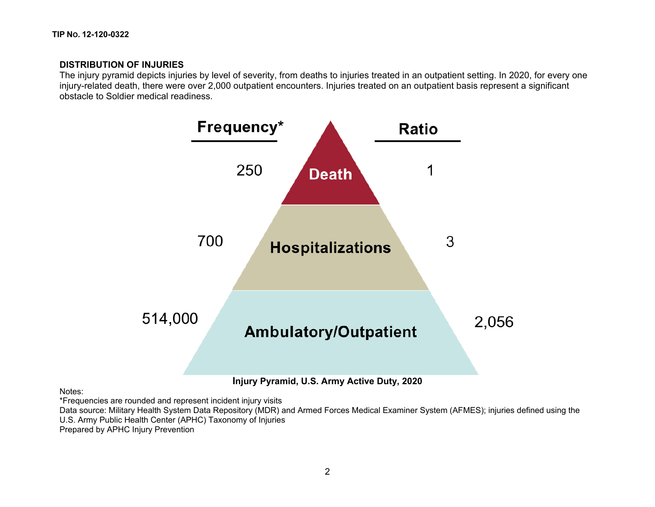## **DISTRIBUTION OF INJURIES**

The injury pyramid depicts injuries by level of severity, from deaths to injuries treated in an outpatient setting. In 2020, for every one injury-related death, there were over 2,000 outpatient encounters. Injuries treated on an outpatient basis represent a significant obstacle to Soldier medical readiness.



Notes:

\*Frequencies are rounded and represent incident injury visits

Data source: Military Health System Data Repository (MDR) and Armed Forces Medical Examiner System (AFMES); injuries defined using the U.S. Army Public Health Center (APHC) Taxonomy of Injuries Prepared by APHC Injury Prevention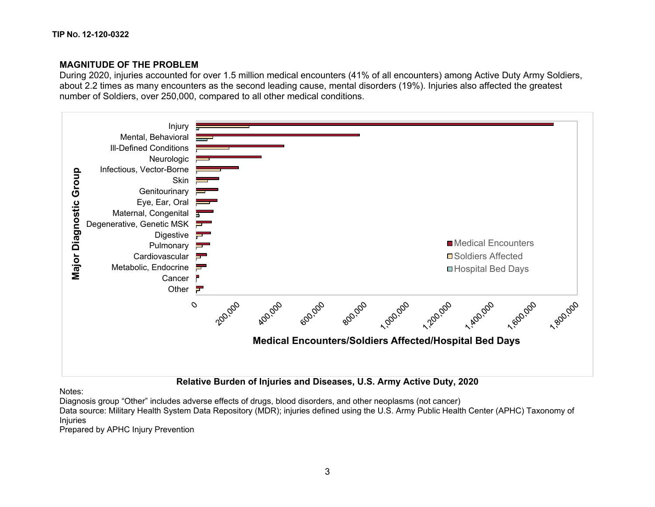## **MAGNITUDE OF THE PROBLEM**

During 2020, injuries accounted for over 1.5 million medical encounters (41% of all encounters) among Active Duty Army Soldiers, about 2.2 times as many encounters as the second leading cause, mental disorders (19%). Injuries also affected the greatest number of Soldiers, over 250,000, compared to all other medical conditions.



Notes:

Diagnosis group "Other" includes adverse effects of drugs, blood disorders, and other neoplasms (not cancer)

Data source: Military Health System Data Repository (MDR); injuries defined using the U.S. Army Public Health Center (APHC) Taxonomy of Injuries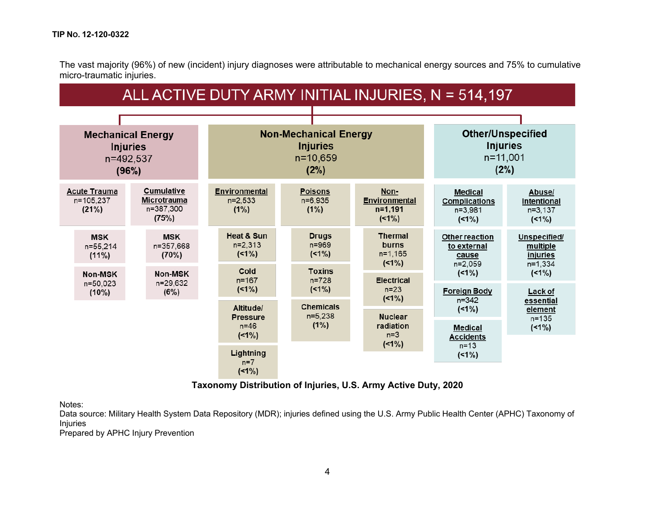The vast majority (96%) of new (incident) injury diagnoses were attributable to mechanical energy sources and 75% to cumulative micro-traumatic injuries.

| ALL ACTIVE DUTY ARMY INITIAL INJURIES, N = 514,197                |                                                               |                                                   |                                                                         |                                                                 |                                                              |                                                                    |  |  |  |  |  |
|-------------------------------------------------------------------|---------------------------------------------------------------|---------------------------------------------------|-------------------------------------------------------------------------|-----------------------------------------------------------------|--------------------------------------------------------------|--------------------------------------------------------------------|--|--|--|--|--|
|                                                                   |                                                               |                                                   |                                                                         |                                                                 |                                                              |                                                                    |  |  |  |  |  |
| <b>Mechanical Energy</b><br><b>Injuries</b><br>n=492,537<br>(96%) |                                                               |                                                   | <b>Non-Mechanical Energy</b><br><b>Injuries</b><br>$n = 10,659$<br>(2%) | <b>Other/Unspecified</b><br><b>Injuries</b><br>n=11,001<br>(2%) |                                                              |                                                                    |  |  |  |  |  |
| <b>Acute Trauma</b><br>n=105,237<br>(21%)                         | <b>Cumulative</b><br><b>Microtrauma</b><br>n=387,300<br>(75%) | <b>Environmental</b><br>n=2,533<br>(1%)           | <b>Poisons</b><br>n=6,935<br>(1%)                                       | Non-<br><b>Environmental</b><br>$n=1,191$<br>$(1\%)$            | <b>Medical</b><br><b>Complications</b><br>n=3,981<br>$(1\%)$ | Abuse/<br>Intentional<br>n=3,137<br>$(1\%)$                        |  |  |  |  |  |
| <b>MSK</b><br>n=55,214<br>$(11\%)$                                | <b>MSK</b><br>n=357,668<br>(70%)                              | <b>Heat &amp; Sun</b><br>$n=2,313$<br>$(1\%)$     | <b>Drugs</b><br>n=969<br>$(1\%)$                                        | <b>Thermal</b><br>burns<br>$n=1,165$<br>$(1\%)$                 | Other reaction<br>to external<br>cause<br>n=2,059            | Unspecified/<br>multiple<br>injuries<br>n=1,334                    |  |  |  |  |  |
| <b>Non-MSK</b><br>n=50,023<br>$(10\%)$                            | Non-MSK<br>n=29,632<br>(6%)                                   | Cold<br>$n = 167$<br>$(1\%)$                      | <b>Toxins</b><br>$n = 728$<br>$(1\%)$                                   | <b>Electrical</b><br>$n=23$<br>$(1\%)$                          | $(1\%)$<br><b>Foreign Body</b><br>$n = 342$                  | $(1\%)$<br>Lack of<br>essential<br>element<br>$n = 135$<br>$(1\%)$ |  |  |  |  |  |
|                                                                   |                                                               | Altitude/<br><b>Pressure</b><br>$n=46$<br>$(1\%)$ | <b>Chemicals</b><br>$n=5,238$<br>(1%)                                   | <b>Nuclear</b><br>radiation<br>$n=3$                            | $(1\%)$<br><b>Medical</b><br><b>Accidents</b>                |                                                                    |  |  |  |  |  |
|                                                                   |                                                               | Lightning<br>$n=7$<br>$(1\%)$                     |                                                                         | $(1\%)$                                                         | $n = 13$<br>$(1\%)$                                          |                                                                    |  |  |  |  |  |

**Taxonomy Distribution of Injuries, U.S. Army Active Duty, 2020**

Notes:

Data source: Military Health System Data Repository (MDR); injuries defined using the U.S. Army Public Health Center (APHC) Taxonomy of Injuries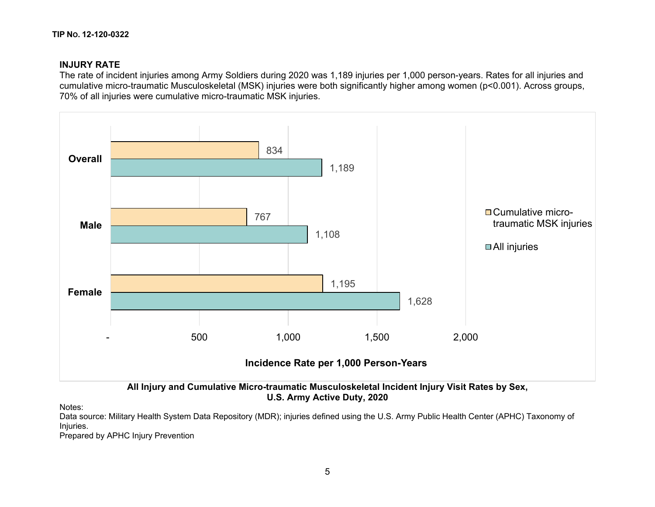# **INJURY RATE**

The rate of incident injuries among Army Soldiers during 2020 was 1,189 injuries per 1,000 person-years. Rates for all injuries and cumulative micro-traumatic Musculoskeletal (MSK) injuries were both significantly higher among women (p<0.001). Across groups, 70% of all injuries were cumulative micro-traumatic MSK injuries.



**U.S. Army Active Duty, 2020**

Notes:

Data source: Military Health System Data Repository (MDR); injuries defined using the U.S. Army Public Health Center (APHC) Taxonomy of Injuries.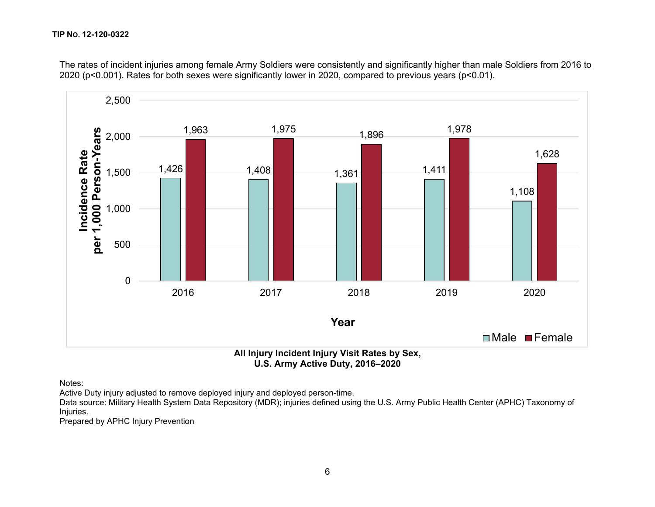

The rates of incident injuries among female Army Soldiers were consistently and significantly higher than male Soldiers from 2016 to 2020 (p<0.001). Rates for both sexes were significantly lower in 2020, compared to previous years (p<0.01).

**U.S. Army Active Duty, 2016–2020**

Notes:

Active Duty injury adjusted to remove deployed injury and deployed person-time.

Data source: Military Health System Data Repository (MDR); injuries defined using the U.S. Army Public Health Center (APHC) Taxonomy of Injuries.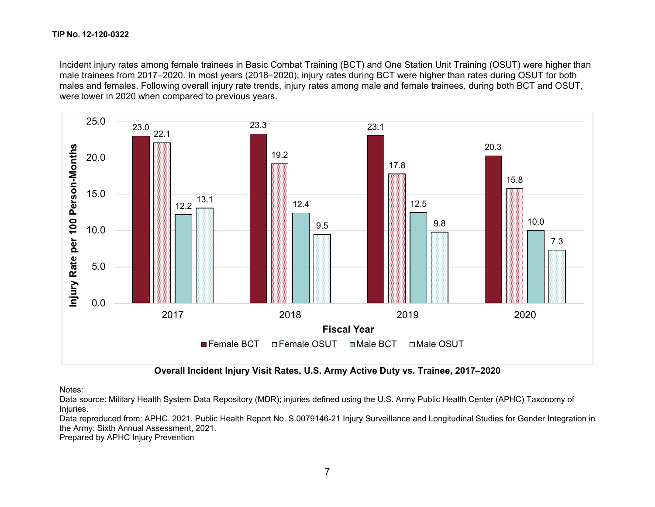Incident injury rates among female trainees in Basic Combat Training (BCT) and One Station Unit Training (OSUT) were higher than male trainees from 2017–2020. In most years (2018–2020), injury rates during BCT were higher than rates during OSUT for both males and females. Following overall injury rate trends, injury rates among male and female trainees, during both BCT and OSUT, were lower in 2020 when compared to previous years.



**Overall Incident Injury Visit Rates, U.S. Army Active Duty vs. Trainee, 2017–2020**

Notes:

Data source: Military Health System Data Repository (MDR); injuries defined using the U.S. Army Public Health Center (APHC) Taxonomy of Injuries.

Data reproduced from: APHC. 2021. Public Health Report No. S.0079146-21 Injury Surveillance and Longitudinal Studies for Gender Integration in the Army: Sixth Annual Assessment, 2021.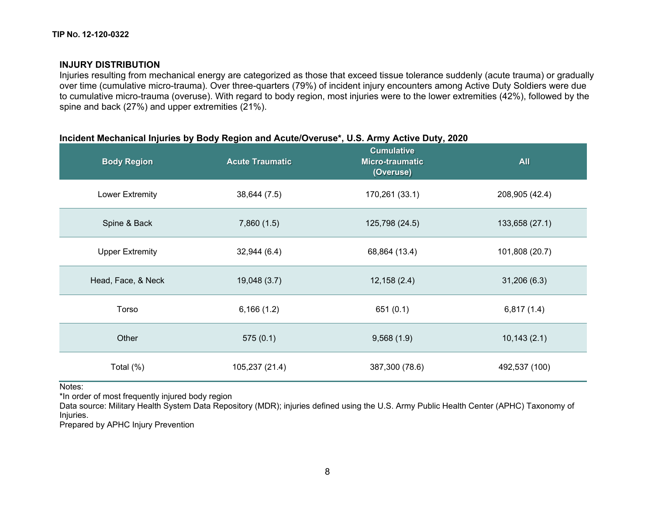## **INJURY DISTRIBUTION**

Injuries resulting from mechanical energy are categorized as those that exceed tissue tolerance suddenly (acute trauma) or gradually over time (cumulative micro-trauma). Over three-quarters (79%) of incident injury encounters among Active Duty Soldiers were due to cumulative micro-trauma (overuse). With regard to body region, most injuries were to the lower extremities (42%), followed by the spine and back (27%) and upper extremities (21%).

## **Incident Mechanical Injuries by Body Region and Acute/Overuse\*, U.S. Army Active Duty, 2020**

| <b>Body Region</b>     | <b>Acute Traumatic</b> | <b>Cumulative</b><br>Micro-traumatic<br>(Overuse) | <b>All</b>     |  |  |
|------------------------|------------------------|---------------------------------------------------|----------------|--|--|
| <b>Lower Extremity</b> | 38,644 (7.5)           | 170,261 (33.1)                                    | 208,905 (42.4) |  |  |
| Spine & Back           | 7,860(1.5)             | 125,798 (24.5)                                    | 133,658 (27.1) |  |  |
| <b>Upper Extremity</b> | 32,944(6.4)            | 68,864 (13.4)                                     | 101,808 (20.7) |  |  |
| Head, Face, & Neck     | 19,048 (3.7)           | 12,158(2.4)                                       | 31,206(6.3)    |  |  |
| Torso                  | 6,166(1.2)             | 651(0.1)                                          | 6,817(1.4)     |  |  |
| Other                  | 575(0.1)               | 9,568(1.9)                                        | 10,143(2.1)    |  |  |
| Total (%)              | 105,237 (21.4)         | 387,300 (78.6)                                    | 492,537 (100)  |  |  |

Notes:

\*In order of most frequently injured body region

Data source: Military Health System Data Repository (MDR); injuries defined using the U.S. Army Public Health Center (APHC) Taxonomy of Injuries.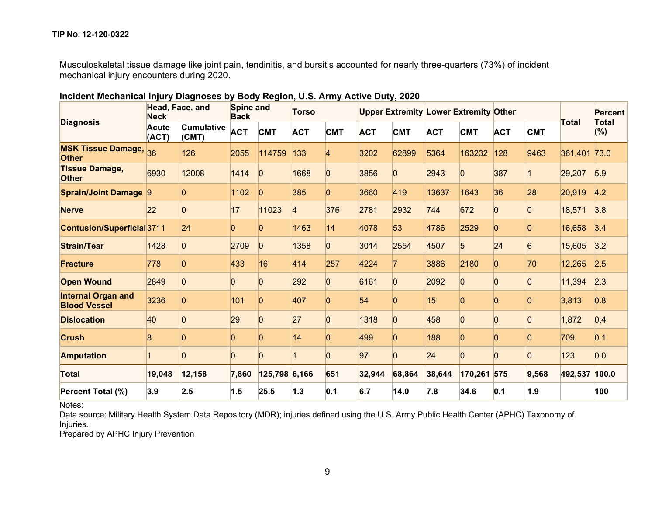Musculoskeletal tissue damage like joint pain, tendinitis, and bursitis accounted for nearly three-quarters (73%) of incident mechanical injury encounters during 2020.

| <b>Diagnosis</b>                                 | Head, Face, and<br><b>Neck</b> |                            | Spine and<br><b>Back</b> |                | <b>Torso</b> |                 |            |                | <b>Upper Extremity Lower Extremity Other</b> |              |                |                | <b>Total</b>  | <b>Percent</b><br><b>Total</b> |
|--------------------------------------------------|--------------------------------|----------------------------|--------------------------|----------------|--------------|-----------------|------------|----------------|----------------------------------------------|--------------|----------------|----------------|---------------|--------------------------------|
|                                                  | <b>Acute</b><br>(ACT)          | <b>Cumulative</b><br>(CMT) | <b>ACT</b>               | <b>CMT</b>     | <b>ACT</b>   | <b>CMT</b>      | <b>ACT</b> | <b>CMT</b>     | <b>ACT</b>                                   | <b>CMT</b>   | <b>ACT</b>     | <b>CMT</b>     |               | $(\%)$                         |
| <b>MSK Tissue Damage,</b><br><b>Other</b>        | 36                             | 126                        | 2055                     | 114759         | 133          |                 | 3202       | 62899          | 5364                                         | 163232       | 128            | 9463           | 361,401       | 73.0                           |
| <b>Tissue Damage,</b><br><b>Other</b>            | 6930                           | 12008                      | 1414                     | IO             | 1668         | $\vert 0 \vert$ | 3856       | $\overline{0}$ | 2943                                         | 0            | 387            |                | 29,207        | 5.9                            |
| <b>Sprain/Joint Damage 9</b>                     |                                |                            | 1102                     | 10             | 385          | 0               | 3660       | 419            | 13637                                        | 1643         | 36             | 28             | 20,919        | 4.2                            |
| <b>Nerve</b>                                     | 22                             |                            | 17                       | 11023          |              | 376             | 2781       | 2932           | 744                                          | 672          |                |                | 18,571        | 3.8                            |
| Contusion/Superficial3711                        |                                | 24                         | 0                        | 0              | 1463         | 14              | 4078       | 53             | 4786                                         | 2529         | 0              | O              | 16,658        | 3.4                            |
| <b>Strain/Tear</b>                               | 1428                           | $\overline{0}$             | 2709                     | $\overline{0}$ | 1358         | $\overline{0}$  | 3014       | 2554           | 4507                                         | 5            | 24             | $\overline{6}$ | 15,605        | 3.2                            |
| <b>Fracture</b>                                  | 778                            | $\Omega$                   | 433                      | 16             | 414          | 257             | 4224       | 7              | 3886                                         | 2180         | $\overline{0}$ | 70             | 12,265        | 2.5                            |
| <b>Open Wound</b>                                | 2849                           | n                          | n.                       |                | 292          | <sup>0</sup>    | 6161       | 0              | 2092                                         | <sup>n</sup> |                |                | 11,394        | 2.3                            |
| <b>Internal Organ and</b><br><b>Blood Vessel</b> | 3236                           |                            | 101                      | 0              | 407          | n               | 54         | 0              | 15                                           |              |                |                | 3,813         | 0.8                            |
| <b>Dislocation</b>                               | 40                             | IO                         | 29                       | $\overline{0}$ | 27           | $\Omega$        | 1318       | 0              | 458                                          | $\Omega$     | $\vert$ 0      | $\Omega$       | 1,872         | 0.4                            |
| <b>Crush</b>                                     |                                |                            |                          |                | 14           |                 | 499        | 0              | 188                                          |              |                |                | 709           | 0.1                            |
| <b>Amputation</b>                                |                                |                            | <sup>0</sup>             |                |              | O               | 97         | $\overline{0}$ | 24                                           | <sup>0</sup> | lO.            | O              | 123           | 0.0                            |
| <b>Total</b>                                     | 19,048                         | 12,158                     | 7,860                    | 125,798 6,166  |              | 651             | 32,944     | 68,864         | 38,644                                       | 170,261 575  |                | 9,568          | 492,537 100.0 |                                |
| Percent Total (%)                                | 3.9                            | 2.5                        | 1.5                      | 25.5           | 1.3          | 0.1             | 6.7        | 14.0           | 7.8                                          | 34.6         | 0.1            | 1.9            |               | 100                            |

## **Incident Mechanical Injury Diagnoses by Body Region, U.S. Army Active Duty, 2020**

Notes:

Data source: Military Health System Data Repository (MDR); injuries defined using the U.S. Army Public Health Center (APHC) Taxonomy of Injuries.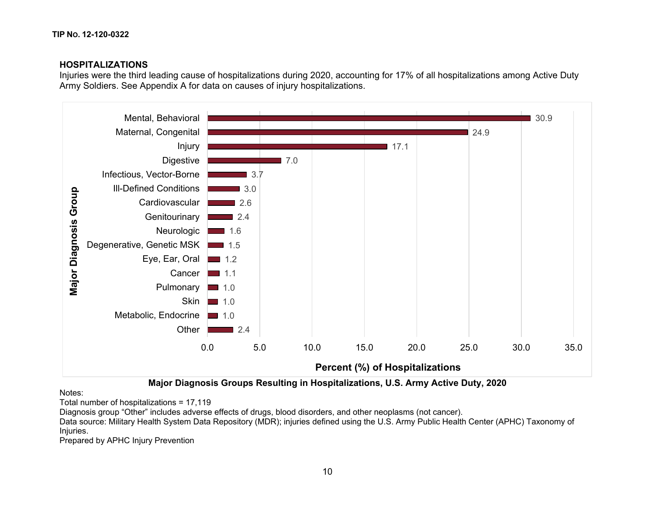## **HOSPITALIZATIONS**

Injuries were the third leading cause of hospitalizations during 2020, accounting for 17% of all hospitalizations among Active Duty Army Soldiers. See Appendix A for data on causes of injury hospitalizations.



**Major Diagnosis Groups Resulting in Hospitalizations, U.S. Army Active Duty, 2020**

Notes:

Total number of hospitalizations = 17,119

Diagnosis group "Other" includes adverse effects of drugs, blood disorders, and other neoplasms (not cancer).

Data source: Military Health System Data Repository (MDR); injuries defined using the U.S. Army Public Health Center (APHC) Taxonomy of Injuries.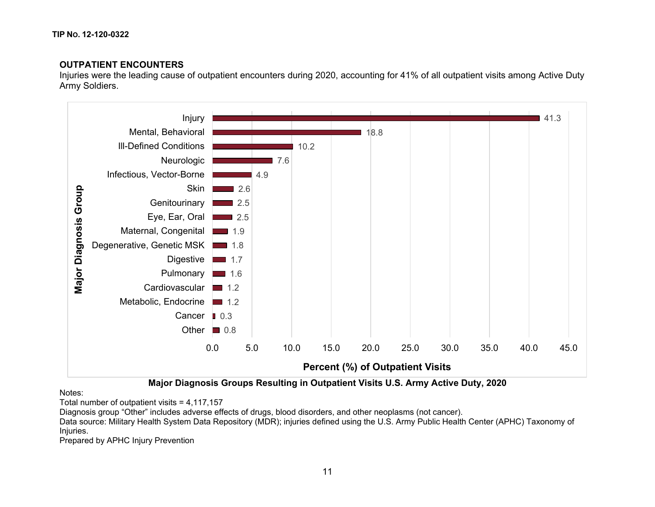# **OUTPATIENT ENCOUNTERS**

Injuries were the leading cause of outpatient encounters during 2020, accounting for 41% of all outpatient visits among Active Duty Army Soldiers.



**Major Diagnosis Groups Resulting in Outpatient Visits U.S. Army Active Duty, 2020**

Notes:

Total number of outpatient visits = 4,117,157

Diagnosis group "Other" includes adverse effects of drugs, blood disorders, and other neoplasms (not cancer).

Data source: Military Health System Data Repository (MDR); injuries defined using the U.S. Army Public Health Center (APHC) Taxonomy of Injuries.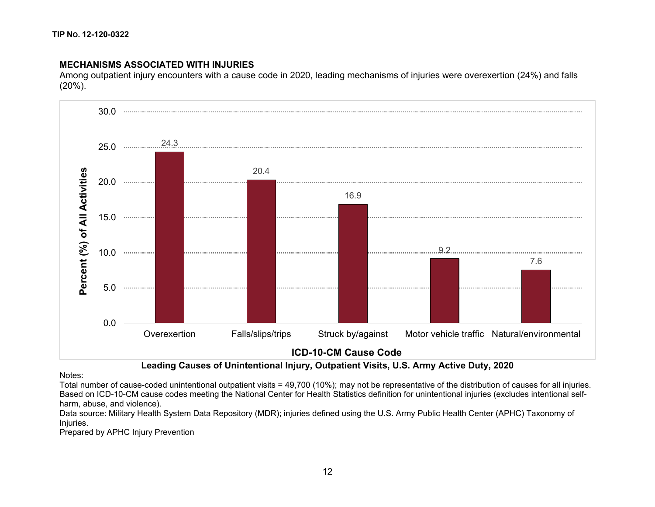## **MECHANISMS ASSOCIATED WITH INJURIES**

Among outpatient injury encounters with a cause code in 2020, leading mechanisms of injuries were overexertion (24%) and falls (20%).



## **Leading Causes of Unintentional Injury, Outpatient Visits, U.S. Army Active Duty, 2020**

Notes:

Total number of cause-coded unintentional outpatient visits = 49,700 (10%); may not be representative of the distribution of causes for all injuries. Based on ICD-10-CM cause codes meeting the National Center for Health Statistics definition for unintentional injuries (excludes intentional selfharm, abuse, and violence).

Data source: Military Health System Data Repository (MDR); injuries defined using the U.S. Army Public Health Center (APHC) Taxonomy of Injuries.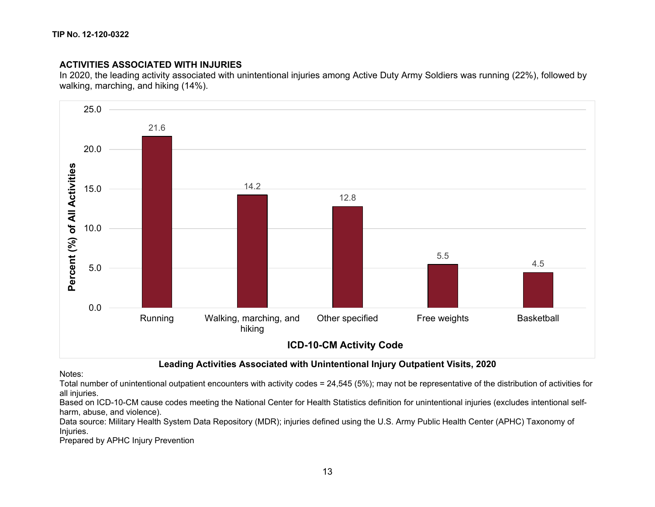# **ACTIVITIES ASSOCIATED WITH INJURIES**

In 2020, the leading activity associated with unintentional injuries among Active Duty Army Soldiers was running (22%), followed by walking, marching, and hiking (14%).



# **Leading Activities Associated with Unintentional Injury Outpatient Visits, 2020**

#### Notes:

Total number of unintentional outpatient encounters with activity codes = 24,545 (5%); may not be representative of the distribution of activities for all injuries.

Based on ICD-10-CM cause codes meeting the National Center for Health Statistics definition for unintentional injuries (excludes intentional selfharm, abuse, and violence).

Data source: Military Health System Data Repository (MDR); injuries defined using the U.S. Army Public Health Center (APHC) Taxonomy of Injuries.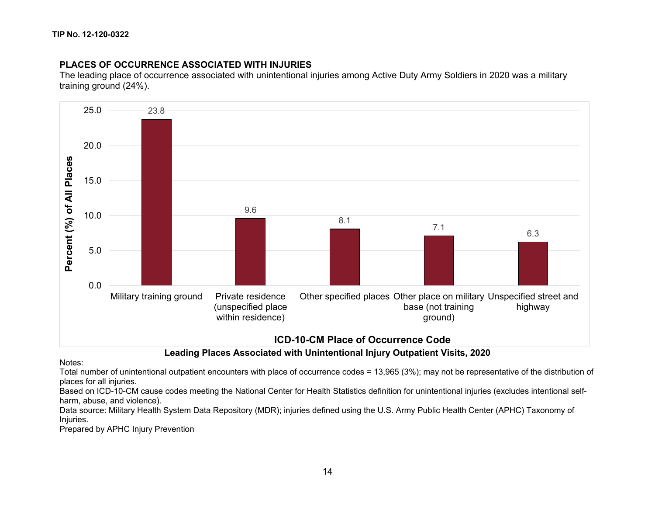# **PLACES OF OCCURRENCE ASSOCIATED WITH INJURIES**

The leading place of occurrence associated with unintentional injuries among Active Duty Army Soldiers in 2020 was a military training ground (24%).



**Leading Places Associated with Unintentional Injury Outpatient Visits, 2020**

#### Notes:

Total number of unintentional outpatient encounters with place of occurrence codes = 13,965 (3%); may not be representative of the distribution of places for all injuries.

Based on ICD-10-CM cause codes meeting the National Center for Health Statistics definition for unintentional injuries (excludes intentional selfharm, abuse, and violence).

Data source: Military Health System Data Repository (MDR); injuries defined using the U.S. Army Public Health Center (APHC) Taxonomy of Injuries.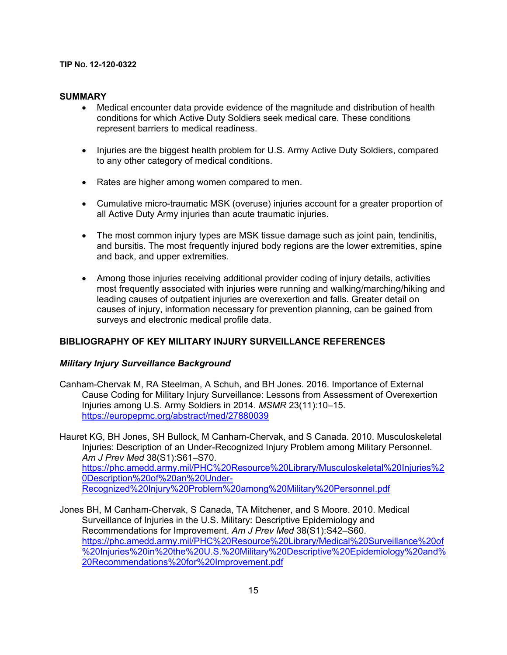#### **SUMMARY**

- Medical encounter data provide evidence of the magnitude and distribution of health conditions for which Active Duty Soldiers seek medical care. These conditions represent barriers to medical readiness.
- Injuries are the biggest health problem for U.S. Army Active Duty Soldiers, compared to any other category of medical conditions.
- Rates are higher among women compared to men.
- Cumulative micro-traumatic MSK (overuse) injuries account for a greater proportion of all Active Duty Army injuries than acute traumatic injuries.
- The most common injury types are MSK tissue damage such as joint pain, tendinitis, and bursitis. The most frequently injured body regions are the lower extremities, spine and back, and upper extremities.
- Among those injuries receiving additional provider coding of injury details, activities most frequently associated with injuries were running and walking/marching/hiking and leading causes of outpatient injuries are overexertion and falls. Greater detail on causes of injury, information necessary for prevention planning, can be gained from surveys and electronic medical profile data.

### **BIBLIOGRAPHY OF KEY MILITARY INJURY SURVEILLANCE REFERENCES**

### *Military Injury Surveillance Background*

- Canham-Chervak M, RA Steelman, A Schuh, and BH Jones. 2016. Importance of External Cause Coding for Military Injury Surveillance: Lessons from Assessment of Overexertion Injuries among U.S. Army Soldiers in 2014. *MSMR* 23(11):10–15. <https://europepmc.org/abstract/med/27880039>
- Hauret KG, BH Jones, SH Bullock, M Canham-Chervak, and S Canada. 2010. Musculoskeletal Injuries: Description of an Under-Recognized Injury Problem among Military Personnel. *Am J Prev Med* 38(S1):S61–S70. [https://phc.amedd.army.mil/PHC%20Resource%20Library/Musculoskeletal%20Injuries%2](https://phc.amedd.army.mil/PHC%20Resource%20Library/Musculoskeletal%20Injuries%20Description%20of%20an%20Under-Recognized%20Injury%20Problem%20among%20Military%20Personnel.pdf) [0Description%20of%20an%20Under-](https://phc.amedd.army.mil/PHC%20Resource%20Library/Musculoskeletal%20Injuries%20Description%20of%20an%20Under-Recognized%20Injury%20Problem%20among%20Military%20Personnel.pdf)[Recognized%20Injury%20Problem%20among%20Military%20Personnel.pdf](https://phc.amedd.army.mil/PHC%20Resource%20Library/Musculoskeletal%20Injuries%20Description%20of%20an%20Under-Recognized%20Injury%20Problem%20among%20Military%20Personnel.pdf)
- Jones BH, M Canham-Chervak, S Canada, TA Mitchener, and S Moore. 2010. Medical Surveillance of Injuries in the U.S. Military: Descriptive Epidemiology and Recommendations for Improvement. *Am J Prev Med* 38(S1):S42–S60. [https://phc.amedd.army.mil/PHC%20Resource%20Library/Medical%20Surveillance%20of](https://phc.amedd.army.mil/PHC%20Resource%20Library/Medical%20Surveillance%20of%20Injuries%20in%20the%20U.S.%20Military%20Descriptive%20Epidemiology%20and%20Recommendations%20for%20Improvement.pdf) [%20Injuries%20in%20the%20U.S.%20Military%20Descriptive%20Epidemiology%20and%](https://phc.amedd.army.mil/PHC%20Resource%20Library/Medical%20Surveillance%20of%20Injuries%20in%20the%20U.S.%20Military%20Descriptive%20Epidemiology%20and%20Recommendations%20for%20Improvement.pdf) [20Recommendations%20for%20Improvement.pdf](https://phc.amedd.army.mil/PHC%20Resource%20Library/Medical%20Surveillance%20of%20Injuries%20in%20the%20U.S.%20Military%20Descriptive%20Epidemiology%20and%20Recommendations%20for%20Improvement.pdf)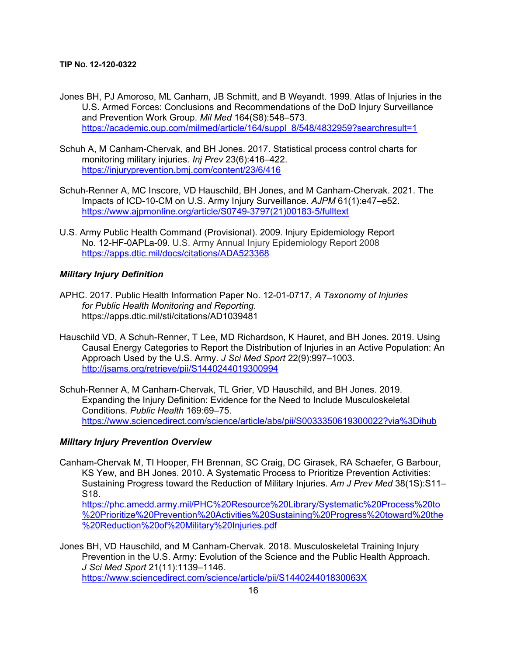- Jones BH, PJ Amoroso, ML Canham, JB Schmitt, and B Weyandt. 1999. Atlas of Injuries in the U.S. Armed Forces: Conclusions and Recommendations of the DoD Injury Surveillance and Prevention Work Group. *Mil Med* 164(S8):548–573. [https://academic.oup.com/milmed/article/164/suppl\\_8/548/4832959?searchresult=1](https://academic.oup.com/milmed/article/164/suppl_8/548/4832959?searchresult=1)
- Schuh A, M Canham-Chervak, and BH Jones. 2017. Statistical process control charts for monitoring military injuries*. Inj Prev* 23(6):416–422. <https://injuryprevention.bmj.com/content/23/6/416>
- Schuh-Renner A, MC Inscore, VD Hauschild, BH Jones, and M Canham-Chervak. 2021. The Impacts of ICD-10-CM on U.S. Army Injury Surveillance. *AJPM* 61(1):e47–e52. [https://www.ajpmonline.org/article/S0749-3797\(21\)00183-5/fulltext](https://www.ajpmonline.org/article/S0749-3797(21)00183-5/fulltext)
- U.S. Army Public Health Command (Provisional). 2009. Injury Epidemiology Report No. 12-HF-0APLa-09. U.S. Army Annual Injury Epidemiology Report 2008 <https://apps.dtic.mil/docs/citations/ADA523368>

### *Military Injury Definition*

- APHC. 2017. Public Health Information Paper No. 12-01-0717, *A Taxonomy of Injuries for Public Health Monitoring and Reporting*. https://apps.dtic.mil/sti/citations/AD1039481
- Hauschild VD, A Schuh-Renner, T Lee, MD Richardson, K Hauret, and BH Jones. 2019. Using Causal Energy Categories to Report the Distribution of Injuries in an Active Population: An Approach Used by the U.S. Army. *J Sci Med Sport* 22(9):997–1003. <http://jsams.org/retrieve/pii/S1440244019300994>
- Schuh-Renner A, M Canham-Chervak, TL Grier, VD Hauschild, and BH Jones. 2019. Expanding the Injury Definition: Evidence for the Need to Include Musculoskeletal Conditions. *Public Health* 169:69–75. <https://www.sciencedirect.com/science/article/abs/pii/S0033350619300022?via%3Dihub>

### *Military Injury Prevention Overview*

Canham-Chervak M, TI Hooper, FH Brennan, SC Craig, DC Girasek, RA Schaefer, G Barbour, KS Yew, and BH Jones. 2010. A Systematic Process to Prioritize Prevention Activities: Sustaining Progress toward the Reduction of Military Injuries. *Am J Prev Med* 38(1S):S11– S18.

[https://phc.amedd.army.mil/PHC%20Resource%20Library/Systematic%20Process%20to](https://phc.amedd.army.mil/PHC%20Resource%20Library/Systematic%20Process%20to%20Prioritize%20Prevention%20Activities%20Sustaining%20Progress%20toward%20the%20Reduction%20of%20Military%20Injuries.pdf) [%20Prioritize%20Prevention%20Activities%20Sustaining%20Progress%20toward%20the](https://phc.amedd.army.mil/PHC%20Resource%20Library/Systematic%20Process%20to%20Prioritize%20Prevention%20Activities%20Sustaining%20Progress%20toward%20the%20Reduction%20of%20Military%20Injuries.pdf) [%20Reduction%20of%20Military%20Injuries.pdf](https://phc.amedd.army.mil/PHC%20Resource%20Library/Systematic%20Process%20to%20Prioritize%20Prevention%20Activities%20Sustaining%20Progress%20toward%20the%20Reduction%20of%20Military%20Injuries.pdf)

Jones BH, VD Hauschild, and M Canham-Chervak. 2018. Musculoskeletal Training Injury Prevention in the U.S. Army: Evolution of the Science and the Public Health Approach. *J Sci Med Sport* 21(11):1139–1146. <https://www.sciencedirect.com/science/article/pii/S144024401830063X>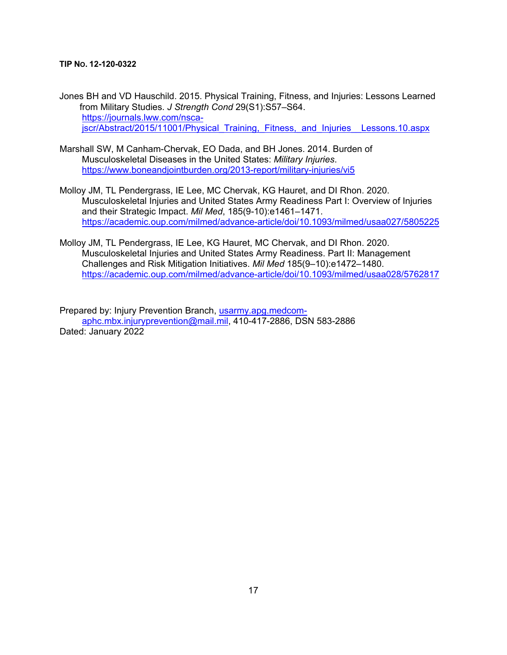Jones BH and VD Hauschild. 2015. Physical Training, Fitness, and Injuries: Lessons Learned from Military Studies. *J Strength Cond* 29(S1):S57–S64. [https://journals.lww.com/nsca](https://journals.lww.com/nsca-jscr/Abstract/2015/11001/Physical_Training,_Fitness,_and_Injuries__Lessons.10.aspx)[jscr/Abstract/2015/11001/Physical\\_Training,\\_Fitness,\\_and\\_Injuries\\_\\_Lessons.10.aspx](https://journals.lww.com/nsca-jscr/Abstract/2015/11001/Physical_Training,_Fitness,_and_Injuries__Lessons.10.aspx)

- Marshall SW, M Canham-Chervak, EO Dada, and BH Jones. 2014. Burden of Musculoskeletal Diseases in the United States: *Military Injuries*. <https://www.boneandjointburden.org/2013-report/military-injuries/vi5>
- Molloy JM, TL Pendergrass, IE Lee, MC Chervak, KG Hauret, and DI Rhon. 2020. Musculoskeletal Injuries and United States Army Readiness Part I: Overview of Injuries and their Strategic Impact. *Mil Med*, 185(9-10):e1461–1471. <https://academic.oup.com/milmed/advance-article/doi/10.1093/milmed/usaa027/5805225>
- Molloy JM, TL Pendergrass, IE Lee, KG Hauret, MC Chervak, and DI Rhon. 2020. Musculoskeletal Injuries and United States Army Readiness. Part II: Management Challenges and Risk Mitigation Initiatives. *Mil Med* 185(9–10):e1472–1480. <https://academic.oup.com/milmed/advance-article/doi/10.1093/milmed/usaa028/5762817>

Prepared by: Injury Prevention Branch, [usarmy.apg.medcom](mailto:usarmy.apg.medcom-aphc.mbx.injuryprevention@mail.mil)[aphc.mbx.injuryprevention@mail.mil,](mailto:usarmy.apg.medcom-aphc.mbx.injuryprevention@mail.mil) 410-417-2886, DSN 583-2886 Dated: January 2022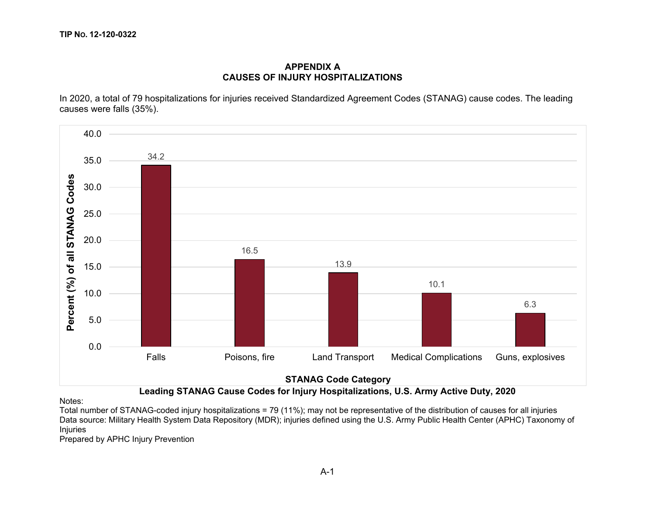### **APPENDIX A CAUSES OF INJURY HOSPITALIZATIONS**

In 2020, a total of 79 hospitalizations for injuries received Standardized Agreement Codes (STANAG) cause codes. The leading causes were falls (35%).



# **Leading STANAG Cause Codes for Injury Hospitalizations, U.S. Army Active Duty, 2020**

Notes:

Total number of STANAG-coded injury hospitalizations = 79 (11%); may not be representative of the distribution of causes for all injuries Data source: Military Health System Data Repository (MDR); injuries defined using the U.S. Army Public Health Center (APHC) Taxonomy of Injuries